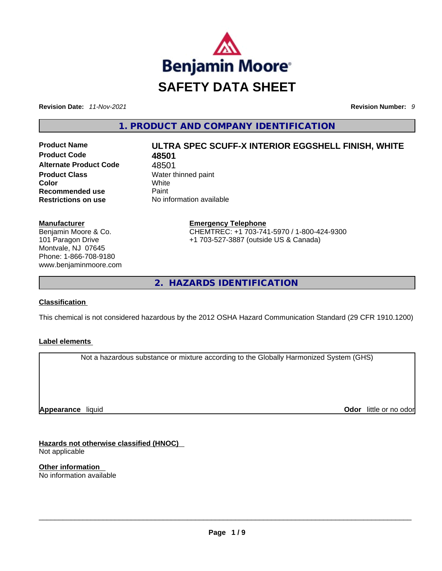

**Revision Date:** *11-Nov-2021* **Revision Number:** *9*

**1. PRODUCT AND COMPANY IDENTIFICATION** 

**Product Name ULTRA SPEC SCUFF-X INTERIOR EGGSHELL FINISH, WHITE Product Code 48501**  Alternate Product Code 48501 **Product Class Water thinned paint Color** White **Recommended use** Paint **Restrictions on use** No information available

**Emergency Telephone** CHEMTREC: +1 703-741-5970 / 1-800-424-9300 +1 703-527-3887 (outside US & Canada)

**2. HAZARDS IDENTIFICATION** 

# **Classification**

**Manufacturer**

Benjamin Moore & Co. 101 Paragon Drive Montvale, NJ 07645 Phone: 1-866-708-9180 www.benjaminmoore.com

This chemical is not considered hazardous by the 2012 OSHA Hazard Communication Standard (29 CFR 1910.1200)

# **Label elements**

Not a hazardous substance or mixture according to the Globally Harmonized System (GHS)

**Appearance** liquid

**Odor** little or no odor

**Hazards not otherwise classified (HNOC)**  Not applicable

**Other information**  No information available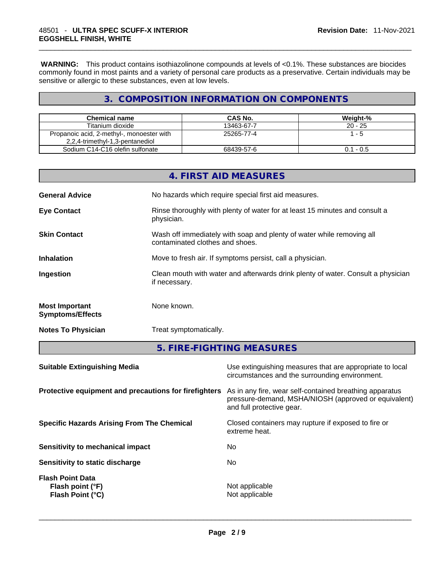**WARNING:** This product contains isothiazolinone compounds at levels of <0.1%. These substances are biocides commonly found in most paints and a variety of personal care products as a preservative. Certain individuals may be sensitive or allergic to these substances, even at low levels.

# **3. COMPOSITION INFORMATION ON COMPONENTS**

| <b>Chemical name</b>                      | <b>CAS No.</b> | Weight-%    |
|-------------------------------------------|----------------|-------------|
| Titanium dioxide                          | 13463-67-7     | $20 - 25$   |
| Propanoic acid, 2-methyl-, monoester with | 25265-77-4     | 1 - 5       |
| 2,2,4-trimethyl-1,3-pentanediol           |                |             |
| Sodium C14-C16 olefin sulfonate           | 68439-57-6     | $0.1 - 0.5$ |

|                                                  | 4. FIRST AID MEASURES                                                                                    |
|--------------------------------------------------|----------------------------------------------------------------------------------------------------------|
| <b>General Advice</b>                            | No hazards which require special first aid measures.                                                     |
| <b>Eye Contact</b>                               | Rinse thoroughly with plenty of water for at least 15 minutes and consult a<br>physician.                |
| <b>Skin Contact</b>                              | Wash off immediately with soap and plenty of water while removing all<br>contaminated clothes and shoes. |
| <b>Inhalation</b>                                | Move to fresh air. If symptoms persist, call a physician.                                                |
| Ingestion                                        | Clean mouth with water and afterwards drink plenty of water. Consult a physician<br>if necessary.        |
| <b>Most Important</b><br><b>Symptoms/Effects</b> | None known.                                                                                              |
| <b>Notes To Physician</b>                        | Treat symptomatically.                                                                                   |

**5. FIRE-FIGHTING MEASURES** 

| <b>Suitable Extinguishing Media</b>                             | Use extinguishing measures that are appropriate to local<br>circumstances and the surrounding environment.                                   |
|-----------------------------------------------------------------|----------------------------------------------------------------------------------------------------------------------------------------------|
| Protective equipment and precautions for firefighters           | As in any fire, wear self-contained breathing apparatus<br>pressure-demand, MSHA/NIOSH (approved or equivalent)<br>and full protective gear. |
| <b>Specific Hazards Arising From The Chemical</b>               | Closed containers may rupture if exposed to fire or<br>extreme heat.                                                                         |
| Sensitivity to mechanical impact                                | No.                                                                                                                                          |
| Sensitivity to static discharge                                 | No.                                                                                                                                          |
| <b>Flash Point Data</b><br>Flash point (°F)<br>Flash Point (°C) | Not applicable<br>Not applicable                                                                                                             |
|                                                                 |                                                                                                                                              |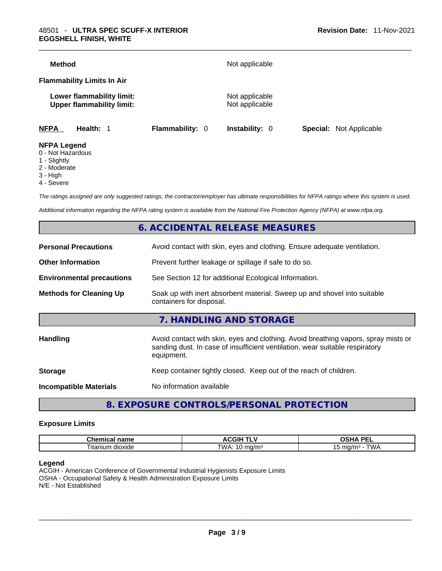| <b>Method</b>                     |                                                               |                        | Not applicable                   |                                |
|-----------------------------------|---------------------------------------------------------------|------------------------|----------------------------------|--------------------------------|
| <b>Flammability Limits In Air</b> |                                                               |                        |                                  |                                |
|                                   | Lower flammability limit:<br><b>Upper flammability limit:</b> |                        | Not applicable<br>Not applicable |                                |
| <b>NFPA</b>                       | Health: 1                                                     | <b>Flammability: 0</b> | <b>Instability: 0</b>            | <b>Special:</b> Not Applicable |
| <b>NFPA Legend</b>                |                                                               |                        |                                  |                                |

- 0 Not Hazardous
- 1 Slightly
- 2 Moderate
- 3 High
- 4 Severe

*The ratings assigned are only suggested ratings, the contractor/employer has ultimate responsibilities for NFPA ratings where this system is used.* 

*Additional information regarding the NFPA rating system is available from the National Fire Protection Agency (NFPA) at www.nfpa.org.* 

# **6. ACCIDENTAL RELEASE MEASURES**

| <b>Personal Precautions</b>      | Avoid contact with skin, eyes and clothing. Ensure adequate ventilation.                                                                                                         |
|----------------------------------|----------------------------------------------------------------------------------------------------------------------------------------------------------------------------------|
| <b>Other Information</b>         | Prevent further leakage or spillage if safe to do so.                                                                                                                            |
| <b>Environmental precautions</b> | See Section 12 for additional Ecological Information.                                                                                                                            |
| <b>Methods for Cleaning Up</b>   | Soak up with inert absorbent material. Sweep up and shovel into suitable<br>containers for disposal.                                                                             |
|                                  | 7. HANDLING AND STORAGE                                                                                                                                                          |
| Handling                         | Avoid contact with skin, eyes and clothing. Avoid breathing vapors, spray mists or<br>sanding dust. In case of insufficient ventilation, wear suitable respiratory<br>equipment. |
| <b>Storage</b>                   | Keep container tightly closed. Keep out of the reach of children.                                                                                                                |
| <b>Incompatible Materials</b>    | No information available                                                                                                                                                         |
|                                  |                                                                                                                                                                                  |

# **8. EXPOSURE CONTROLS/PERSONAL PROTECTION**

#### **Exposure Limits**

| Chemical<br>name               | -----<br>-- -<br>$\mathbf{v}$<br> | <b>DEI</b><br>$\mathbf{r}$<br>-- |
|--------------------------------|-----------------------------------|----------------------------------|
| $\sim$<br>, itanium<br>dioxide | TWA.<br>ma/m∼<br>◡                | ™∆M<br>ma/m <sup>3</sup>         |

#### **Legend**

ACGIH - American Conference of Governmental Industrial Hygienists Exposure Limits OSHA - Occupational Safety & Health Administration Exposure Limits N/E - Not Established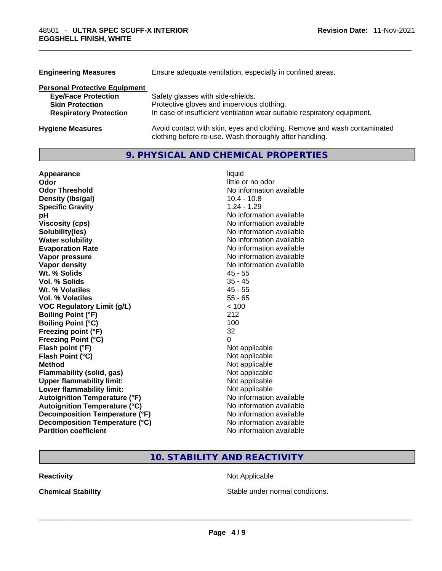| <b>Engineering Measures</b>          | Ensure adequate ventilation, especially in confined areas.                                                                          |
|--------------------------------------|-------------------------------------------------------------------------------------------------------------------------------------|
| <b>Personal Protective Equipment</b> |                                                                                                                                     |
| <b>Eye/Face Protection</b>           | Safety glasses with side-shields.                                                                                                   |
| <b>Skin Protection</b>               | Protective gloves and impervious clothing.                                                                                          |
| <b>Respiratory Protection</b>        | In case of insufficient ventilation wear suitable respiratory equipment.                                                            |
| <b>Hygiene Measures</b>              | Avoid contact with skin, eyes and clothing. Remove and wash contaminated<br>clothing before re-use. Wash thoroughly after handling. |

# **9. PHYSICAL AND CHEMICAL PROPERTIES**

| Appearance                           | liquid                   |
|--------------------------------------|--------------------------|
| Odor                                 | little or no odor        |
| <b>Odor Threshold</b>                | No information available |
| Density (Ibs/gal)                    | $10.4 - 10.8$            |
| <b>Specific Gravity</b>              | $1.24 - 1.29$            |
| рH                                   | No information available |
| <b>Viscosity (cps)</b>               | No information available |
| Solubility(ies)                      | No information available |
| <b>Water solubility</b>              | No information available |
| <b>Evaporation Rate</b>              | No information available |
| Vapor pressure                       | No information available |
| Vapor density                        | No information available |
| Wt. % Solids                         | $45 - 55$                |
| Vol. % Solids                        | $35 - 45$                |
| Wt. % Volatiles                      | $45 - 55$                |
| Vol. % Volatiles                     | $55 - 65$                |
| <b>VOC Regulatory Limit (g/L)</b>    | < 100                    |
| <b>Boiling Point (°F)</b>            | 212                      |
| <b>Boiling Point (°C)</b>            | 100                      |
| Freezing point (°F)                  | 32                       |
| <b>Freezing Point (°C)</b>           | 0                        |
| Flash point (°F)                     | Not applicable           |
| Flash Point (°C)                     | Not applicable           |
| <b>Method</b>                        | Not applicable           |
| <b>Flammability (solid, gas)</b>     | Not applicable           |
| <b>Upper flammability limit:</b>     | Not applicable           |
| <b>Lower flammability limit:</b>     | Not applicable           |
| <b>Autoignition Temperature (°F)</b> | No information available |
| <b>Autoignition Temperature (°C)</b> | No information available |
| Decomposition Temperature (°F)       | No information available |
| Decomposition Temperature (°C)       | No information available |
| <b>Partition coefficient</b>         | No information available |

# **10. STABILITY AND REACTIVITY**

**Reactivity Not Applicable** 

**Chemical Stability Stable under normal conditions. Chemical Stability Stable under normal conditions. Chemical Stability Chemical Stability Chemical Stability Chemical Stability Chemical Stability Chemic**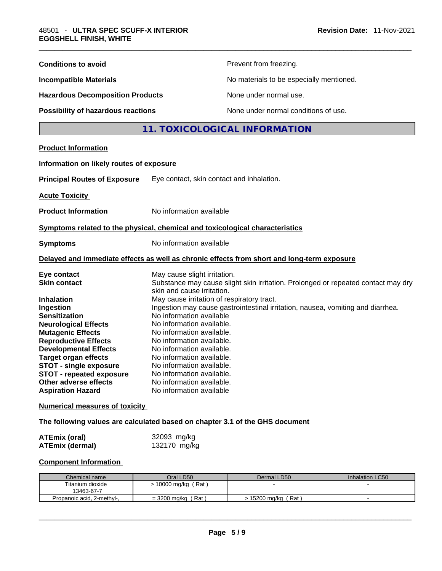| <b>Conditions to avoid</b>                                                                                                                                                                                                                                                                                                               |                                                            | Prevent from freezing.                                                                                                                                                                                                                                                                                                                                                                                                        |                 |  |
|------------------------------------------------------------------------------------------------------------------------------------------------------------------------------------------------------------------------------------------------------------------------------------------------------------------------------------------|------------------------------------------------------------|-------------------------------------------------------------------------------------------------------------------------------------------------------------------------------------------------------------------------------------------------------------------------------------------------------------------------------------------------------------------------------------------------------------------------------|-----------------|--|
| <b>Incompatible Materials</b>                                                                                                                                                                                                                                                                                                            |                                                            | No materials to be especially mentioned.                                                                                                                                                                                                                                                                                                                                                                                      |                 |  |
| <b>Hazardous Decomposition Products</b>                                                                                                                                                                                                                                                                                                  |                                                            | None under normal use.                                                                                                                                                                                                                                                                                                                                                                                                        |                 |  |
| Possibility of hazardous reactions                                                                                                                                                                                                                                                                                                       |                                                            | None under normal conditions of use.                                                                                                                                                                                                                                                                                                                                                                                          |                 |  |
|                                                                                                                                                                                                                                                                                                                                          |                                                            | 11. TOXICOLOGICAL INFORMATION                                                                                                                                                                                                                                                                                                                                                                                                 |                 |  |
| <b>Product Information</b>                                                                                                                                                                                                                                                                                                               |                                                            |                                                                                                                                                                                                                                                                                                                                                                                                                               |                 |  |
| Information on likely routes of exposure                                                                                                                                                                                                                                                                                                 |                                                            |                                                                                                                                                                                                                                                                                                                                                                                                                               |                 |  |
| <b>Principal Routes of Exposure</b>                                                                                                                                                                                                                                                                                                      | Eye contact, skin contact and inhalation.                  |                                                                                                                                                                                                                                                                                                                                                                                                                               |                 |  |
| <b>Acute Toxicity</b>                                                                                                                                                                                                                                                                                                                    |                                                            |                                                                                                                                                                                                                                                                                                                                                                                                                               |                 |  |
| <b>Product Information</b>                                                                                                                                                                                                                                                                                                               | No information available                                   |                                                                                                                                                                                                                                                                                                                                                                                                                               |                 |  |
| Symptoms related to the physical, chemical and toxicological characteristics                                                                                                                                                                                                                                                             |                                                            |                                                                                                                                                                                                                                                                                                                                                                                                                               |                 |  |
| <b>Symptoms</b>                                                                                                                                                                                                                                                                                                                          | No information available                                   |                                                                                                                                                                                                                                                                                                                                                                                                                               |                 |  |
| Delayed and immediate effects as well as chronic effects from short and long-term exposure                                                                                                                                                                                                                                               |                                                            |                                                                                                                                                                                                                                                                                                                                                                                                                               |                 |  |
| Eye contact<br><b>Skin contact</b>                                                                                                                                                                                                                                                                                                       | May cause slight irritation.<br>skin and cause irritation. | Substance may cause slight skin irritation. Prolonged or repeated contact may dry                                                                                                                                                                                                                                                                                                                                             |                 |  |
| <b>Inhalation</b><br>Ingestion<br><b>Sensitization</b><br><b>Neurological Effects</b><br><b>Mutagenic Effects</b><br><b>Reproductive Effects</b><br><b>Developmental Effects</b><br><b>Target organ effects</b><br><b>STOT - single exposure</b><br><b>STOT - repeated exposure</b><br>Other adverse effects<br><b>Aspiration Hazard</b> |                                                            | May cause irritation of respiratory tract.<br>Ingestion may cause gastrointestinal irritation, nausea, vomiting and diarrhea.<br>No information available<br>No information available.<br>No information available.<br>No information available.<br>No information available.<br>No information available.<br>No information available.<br>No information available.<br>No information available.<br>No information available |                 |  |
| <b>Numerical measures of toxicity</b>                                                                                                                                                                                                                                                                                                    |                                                            |                                                                                                                                                                                                                                                                                                                                                                                                                               |                 |  |
| The following values are calculated based on chapter 3.1 of the GHS document                                                                                                                                                                                                                                                             |                                                            |                                                                                                                                                                                                                                                                                                                                                                                                                               |                 |  |
| <b>ATEmix (oral)</b><br><b>ATEmix (dermal)</b>                                                                                                                                                                                                                                                                                           | 32093 mg/kg<br>132170 mg/kg                                |                                                                                                                                                                                                                                                                                                                                                                                                                               |                 |  |
| <b>Component Information</b>                                                                                                                                                                                                                                                                                                             |                                                            |                                                                                                                                                                                                                                                                                                                                                                                                                               |                 |  |
| Chemical name<br>Titanium dioxide<br>13463-67-7                                                                                                                                                                                                                                                                                          | Oral LD50<br>> 10000 mg/kg (Rat)                           | Dermal LD50                                                                                                                                                                                                                                                                                                                                                                                                                   | Inhalation LC50 |  |
| Propanoic acid, 2-methyl-,                                                                                                                                                                                                                                                                                                               | $=$ 3200 mg/kg (Rat)                                       | > 15200 mg/kg (Rat)                                                                                                                                                                                                                                                                                                                                                                                                           | $\blacksquare$  |  |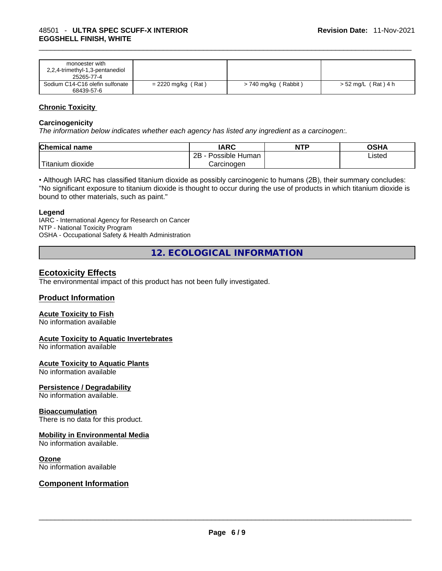| monoester with                  |                      |                      |                    |
|---------------------------------|----------------------|----------------------|--------------------|
| 2,2,4-trimethyl-1,3-pentanediol |                      |                      |                    |
| 25265-77-4                      |                      |                      |                    |
| Sodium C14-C16 olefin sulfonate | $= 2220$ mg/kg (Rat) | > 740 mg/kg (Rabbit) | > 52 mg/L (Rat)4 h |
| 68439-57-6                      |                      |                      |                    |

# **Chronic Toxicity**

#### **Carcinogenicity**

*The information below indicates whether each agency has listed any ingredient as a carcinogen:.* 

| <b>Chemical name</b>    | IARC                 | <b>NTP</b> | OSHA   |
|-------------------------|----------------------|------------|--------|
|                         | Possible Human<br>2B |            | ∟isted |
| ' Titanium 、<br>dioxide | Carcinoɑen           |            |        |

• Although IARC has classified titanium dioxide as possibly carcinogenic to humans (2B), their summary concludes: "No significant exposure to titanium dioxide is thought to occur during the use of products in which titanium dioxide is bound to other materials, such as paint."

#### **Legend**

IARC - International Agency for Research on Cancer NTP - National Toxicity Program OSHA - Occupational Safety & Health Administration

**12. ECOLOGICAL INFORMATION** 

# **Ecotoxicity Effects**

The environmental impact of this product has not been fully investigated.

#### **Product Information**

#### **Acute Toxicity to Fish**

No information available

#### **Acute Toxicity to Aquatic Invertebrates**

No information available

#### **Acute Toxicity to Aquatic Plants**

No information available

### **Persistence / Degradability**

No information available.

#### **Bioaccumulation**

There is no data for this product.

#### **Mobility in Environmental Media**

No information available.

#### **Ozone**

# No information available \_\_\_\_\_\_\_\_\_\_\_\_\_\_\_\_\_\_\_\_\_\_\_\_\_\_\_\_\_\_\_\_\_\_\_\_\_\_\_\_\_\_\_\_\_\_\_\_\_\_\_\_\_\_\_\_\_\_\_\_\_\_\_\_\_\_\_\_\_\_\_\_\_\_\_\_\_\_\_\_\_\_\_\_\_\_\_\_\_\_\_\_\_ **Component Information**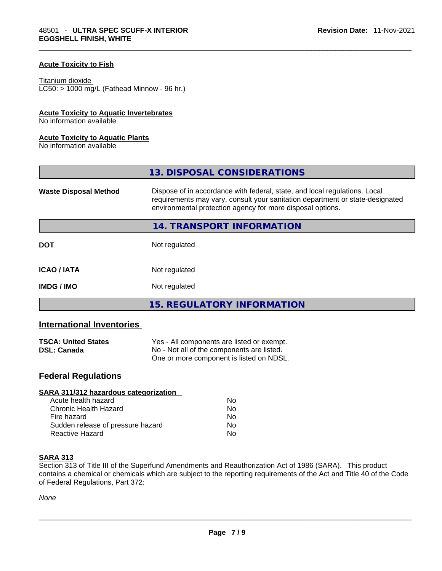#### **Acute Toxicity to Fish**

#### Titanium dioxide

 $LCS0: > 1000$  mg/L (Fathead Minnow - 96 hr.)

# **Acute Toxicity to Aquatic Invertebrates**

No information available

#### **Acute Toxicity to Aquatic Plants**

No information available

|                              | 13. DISPOSAL CONSIDERATIONS                                                                                                                                                                                               |
|------------------------------|---------------------------------------------------------------------------------------------------------------------------------------------------------------------------------------------------------------------------|
| <b>Waste Disposal Method</b> | Dispose of in accordance with federal, state, and local regulations. Local<br>requirements may vary, consult your sanitation department or state-designated<br>environmental protection agency for more disposal options. |
|                              | 14. TRANSPORT INFORMATION                                                                                                                                                                                                 |
| <b>DOT</b>                   | Not regulated                                                                                                                                                                                                             |
| <b>ICAO/IATA</b>             | Not regulated                                                                                                                                                                                                             |
| <b>IMDG/IMO</b>              | Not regulated                                                                                                                                                                                                             |
|                              | 15. REGULATORY INFORMATION                                                                                                                                                                                                |

# **International Inventories**

| <b>TSCA: United States</b> | Yes - All components are listed or exempt. |
|----------------------------|--------------------------------------------|
| <b>DSL: Canada</b>         | No - Not all of the components are listed. |
|                            | One or more component is listed on NDSL.   |

# **Federal Regulations**

| SARA 311/312 hazardous categorization |                |  |
|---------------------------------------|----------------|--|
| Acute health hazard                   | Nο             |  |
| <b>Chronic Health Hazard</b>          | No             |  |
| Fire hazard                           | N <sub>0</sub> |  |
| Sudden release of pressure hazard     | Nο             |  |
| <b>Reactive Hazard</b>                | No             |  |

#### **SARA 313**

Section 313 of Title III of the Superfund Amendments and Reauthorization Act of 1986 (SARA). This product contains a chemical or chemicals which are subject to the reporting requirements of the Act and Title 40 of the Code of Federal Regulations, Part 372: \_\_\_\_\_\_\_\_\_\_\_\_\_\_\_\_\_\_\_\_\_\_\_\_\_\_\_\_\_\_\_\_\_\_\_\_\_\_\_\_\_\_\_\_\_\_\_\_\_\_\_\_\_\_\_\_\_\_\_\_\_\_\_\_\_\_\_\_\_\_\_\_\_\_\_\_\_\_\_\_\_\_\_\_\_\_\_\_\_\_\_\_\_

*None*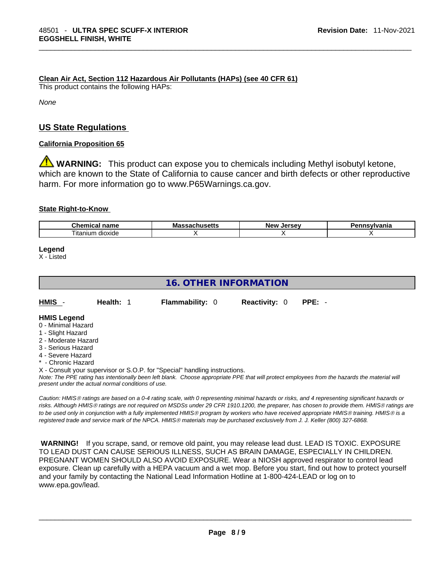**Clean Air Act,Section 112 Hazardous Air Pollutants (HAPs) (see 40 CFR 61)**

This product contains the following HAPs:

*None*

# **US State Regulations**

### **California Proposition 65**

**A** WARNING: This product can expose you to chemicals including Methyl isobutyl ketone, which are known to the State of California to cause cancer and birth defects or other reproductive harm. For more information go to www.P65Warnings.ca.gov.

### **State Right-to-Know**

| $\sim$<br>$ -$<br>чань             | MK | <b>LOFCOL</b><br><b>Nev</b> | .<br>Ήс |
|------------------------------------|----|-----------------------------|---------|
| $- \cdot$ .<br>dioxide<br>⊥itanıum |    |                             |         |

# **Legend**

X - Listed

# **16. OTHER INFORMATION**  Note: The PPE rating has intentionally been left blank. Choose appropriate PPE that will protect employees from the hazards the material will *present under the actual normal conditions of use.*  **HMIS** - **Health:** 1 **Flammability:** 0 **Reactivity:** 0 **PPE:** - **HMIS Legend** 0 - Minimal Hazard 1 - Slight Hazard 2 - Moderate Hazard 3 - Serious Hazard 4 - Severe Hazard \* - Chronic Hazard X - Consult your supervisor or S.O.P. for "Special" handling instructions.

*Caution: HMISÒ ratings are based on a 0-4 rating scale, with 0 representing minimal hazards or risks, and 4 representing significant hazards or risks. Although HMISÒ ratings are not required on MSDSs under 29 CFR 1910.1200, the preparer, has chosen to provide them. HMISÒ ratings are to be used only in conjunction with a fully implemented HMISÒ program by workers who have received appropriate HMISÒ training. HMISÒ is a registered trade and service mark of the NPCA. HMISÒ materials may be purchased exclusively from J. J. Keller (800) 327-6868.* 

 **WARNING!** If you scrape, sand, or remove old paint, you may release lead dust. LEAD IS TOXIC. EXPOSURE TO LEAD DUST CAN CAUSE SERIOUS ILLNESS, SUCH AS BRAIN DAMAGE, ESPECIALLY IN CHILDREN. PREGNANT WOMEN SHOULD ALSO AVOID EXPOSURE. Wear a NIOSH approved respirator to control lead exposure. Clean up carefully with a HEPA vacuum and a wet mop. Before you start, find out how to protect yourself and your family by contacting the National Lead Information Hotline at 1-800-424-LEAD or log on to www.epa.gov/lead.